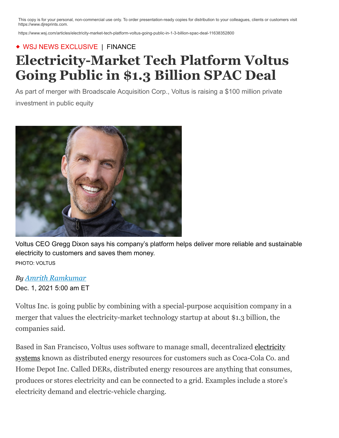This copy is for your personal, non-commercial use only. To order presentation-ready copies for distribution to your colleagues, clients or customers visit https://www.djreprints.com.

https://www.wsj.com/articles/electricity-market-tech-platform-voltus-going-public-in-1-3-billion-spac-deal-11638352800

## ◆ WSJ NEWS EXCLUSIVE | [FINANCE](https://www.wsj.com/news/types/finance?mod=breadcrumb)

## **Electricity-Market Tech Platform Voltus Going Public in \$1.3 Billion SPAC Deal**

As part of merger with Broadscale Acquisition Corp., Voltus is raising a \$100 million private investment in public equity



Voltus CEO Gregg Dixon says his company's platform helps deliver more reliable and sustainable electricity to customers and saves them money. PHOTO: VOLTUS

## *By Amrith Ramkumar*

Dec. 1, 2021 5:00 am ET

Voltus Inc. is going public by combining with a special-purpose acquisition company in a merger that values the electricity-market technology startup at about \$1.3 billion, the companies said.

Based in San Francisco, Voltus uses software to manage small, decentralized electricity [systems known as distributed energy resources for customers such as Coca-Cola Co. and](https://www.wsj.com/articles/electrification-of-everything-11620843173?mod=article_inline) Home Depot Inc. Called DERs, distributed energy resources are anything that consumes, produces or stores electricity and can be connected to a grid. Examples include a store's electricity demand and electric-vehicle charging.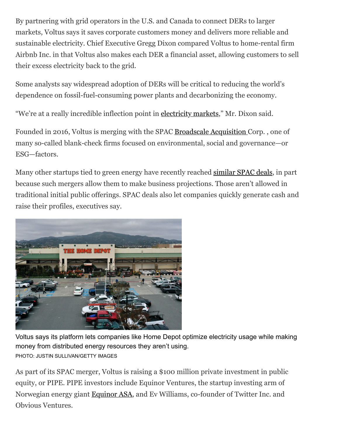By partnering with grid operators in the U.S. and Canada to connect DERs to larger markets, Voltus says it saves corporate customers money and delivers more reliable and sustainable electricity. Chief Executive Gregg Dixon compared Voltus to home-rental firm Airbnb Inc. in that Voltus also makes each DER a financial asset, allowing customers to sell their excess electricity back to the grid.

Some analysts say widespread adoption of DERs will be critical to reducing the world's dependence on fossil-fuel-consuming power plants and decarbonizing the economy.

"We're at a really incredible inflection point in [electricity markets,](https://www.wsj.com/articles/whats-next-for-the-energy-grid-11581645094?mod=article_inline)" Mr. Dixon said.

Founded in 2016, Voltus is merging with the SPAC [Broadscale Acquisition C](https://www.wsj.com/market-data/quotes/SCLE)orp. , one of many so-called blank-check firms focused on environmental, social and governance—or ESG—factors.

Many other startups tied to green energy have recently reached [similar SPAC deals](https://www.wsj.com/articles/renewable-storage-firm-energy-vault-reaches-1-6-billion-spac-deal-to-go-public-11631136600?mod=article_inline), in part because such mergers allow them to make business projections. Those aren't allowed in traditional initial public offerings. SPAC deals also let companies quickly generate cash and raise their profiles, executives say.



Voltus says its platform lets companies like Home Depot optimize electricity usage while making money from distributed energy resources they aren't using. PHOTO: JUSTIN SULLIVAN/GETTY IMAGES

As part of its SPAC merger, Voltus is raising a \$100 million private investment in public equity, or PIPE. PIPE investors include Equinor Ventures, the startup investing arm of Norwegian energy giant [Equinor ASA,](https://www.wsj.com/market-data/quotes/EQNR.OS) and Ev Williams, co-founder of Twitter Inc. and Obvious Ventures.